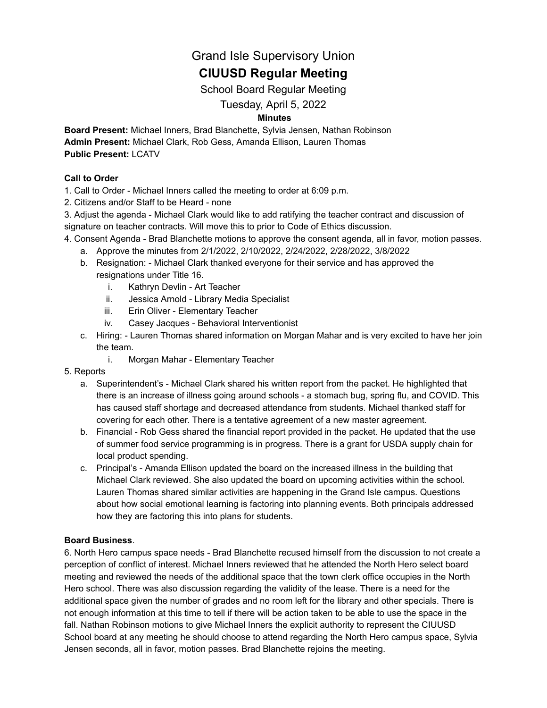## Grand Isle Supervisory Union

# **CIUUSD Regular Meeting**

School Board Regular Meeting

## Tuesday, April 5, 2022

### **Minutes**

**Board Present:** Michael Inners, Brad Blanchette, Sylvia Jensen, Nathan Robinson **Admin Present:** Michael Clark, Rob Gess, Amanda Ellison, Lauren Thomas **Public Present:** LCATV

#### **Call to Order**

1. Call to Order - Michael Inners called the meeting to order at 6:09 p.m.

- 2. Citizens and/or Staff to be Heard none
- 3. Adjust the agenda Michael Clark would like to add ratifying the teacher contract and discussion of signature on teacher contracts. Will move this to prior to Code of Ethics discussion.
- 4. Consent Agenda Brad Blanchette motions to approve the consent agenda, all in favor, motion passes.
	- a. Approve the minutes from 2/1/2022, 2/10/2022, 2/24/2022, 2/28/2022, 3/8/2022
	- b. Resignation: Michael Clark thanked everyone for their service and has approved the resignations under Title 16.
		- i. Kathryn Devlin Art Teacher
		- ii. Jessica Arnold Library Media Specialist
		- iii. Erin Oliver Elementary Teacher
		- iv. Casey Jacques Behavioral Interventionist
	- c. Hiring: Lauren Thomas shared information on Morgan Mahar and is very excited to have her join the team.
		- i. Morgan Mahar Elementary Teacher
- 5. Reports
	- a. Superintendent's Michael Clark shared his written report from the packet. He highlighted that there is an increase of illness going around schools - a stomach bug, spring flu, and COVID. This has caused staff shortage and decreased attendance from students. Michael thanked staff for covering for each other. There is a tentative agreement of a new master agreement.
	- b. Financial Rob Gess shared the financial report provided in the packet. He updated that the use of summer food service programming is in progress. There is a grant for USDA supply chain for local product spending.
	- c. Principal's Amanda Ellison updated the board on the increased illness in the building that Michael Clark reviewed. She also updated the board on upcoming activities within the school. Lauren Thomas shared similar activities are happening in the Grand Isle campus. Questions about how social emotional learning is factoring into planning events. Both principals addressed how they are factoring this into plans for students.

#### **Board Business**.

6. North Hero campus space needs - Brad Blanchette recused himself from the discussion to not create a perception of conflict of interest. Michael Inners reviewed that he attended the North Hero select board meeting and reviewed the needs of the additional space that the town clerk office occupies in the North Hero school. There was also discussion regarding the validity of the lease. There is a need for the additional space given the number of grades and no room left for the library and other specials. There is not enough information at this time to tell if there will be action taken to be able to use the space in the fall. Nathan Robinson motions to give Michael Inners the explicit authority to represent the CIUUSD School board at any meeting he should choose to attend regarding the North Hero campus space, Sylvia Jensen seconds, all in favor, motion passes. Brad Blanchette rejoins the meeting.